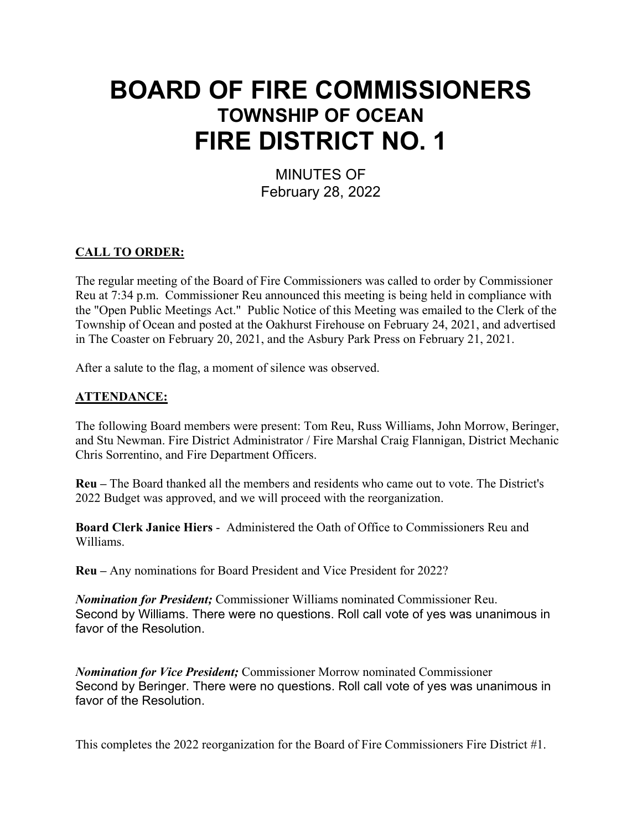# **BOARD OF FIRE COMMISSIONERS TOWNSHIP OF OCEAN FIRE DISTRICT NO. 1**

MINUTES OF February 28, 2022

# **CALL TO ORDER:**

The regular meeting of the Board of Fire Commissioners was called to order by Commissioner Reu at 7:34 p.m. Commissioner Reu announced this meeting is being held in compliance with the "Open Public Meetings Act." Public Notice of this Meeting was emailed to the Clerk of the Township of Ocean and posted at the Oakhurst Firehouse on February 24, 2021, and advertised in The Coaster on February 20, 2021, and the Asbury Park Press on February 21, 2021.

After a salute to the flag, a moment of silence was observed.

# **ATTENDANCE:**

The following Board members were present: Tom Reu, Russ Williams, John Morrow, Beringer, and Stu Newman. Fire District Administrator / Fire Marshal Craig Flannigan, District Mechanic Chris Sorrentino, and Fire Department Officers.

**Reu –** The Board thanked all the members and residents who came out to vote. The District's 2022 Budget was approved, and we will proceed with the reorganization.

**Board Clerk Janice Hiers** - Administered the Oath of Office to Commissioners Reu and Williams.

**Reu –** Any nominations for Board President and Vice President for 2022?

*Nomination for President;* Commissioner Williams nominated Commissioner Reu. Second by Williams. There were no questions. Roll call vote of yes was unanimous in favor of the Resolution.

*Nomination for Vice President;* Commissioner Morrow nominated Commissioner Second by Beringer. There were no questions. Roll call vote of yes was unanimous in favor of the Resolution.

This completes the 2022 reorganization for the Board of Fire Commissioners Fire District #1.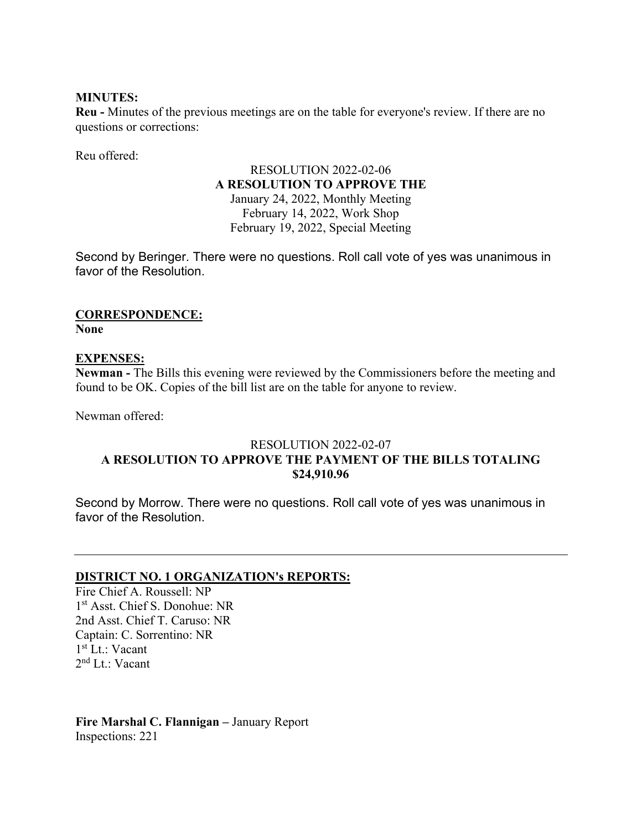# **MINUTES:**

**Reu -** Minutes of the previous meetings are on the table for everyone's review. If there are no questions or corrections:

Reu offered:

# RESOLUTION 2022-02-06 **A RESOLUTION TO APPROVE THE**  January 24, 2022, Monthly Meeting

February 14, 2022, Work Shop February 19, 2022, Special Meeting

Second by Beringer. There were no questions. Roll call vote of yes was unanimous in favor of the Resolution.

#### **CORRESPONDENCE: None**

# **EXPENSES:**

**Newman -** The Bills this evening were reviewed by the Commissioners before the meeting and found to be OK. Copies of the bill list are on the table for anyone to review.

Newman offered:

# RESOLUTION 2022-02-07 **A RESOLUTION TO APPROVE THE PAYMENT OF THE BILLS TOTALING \$24,910.96**

Second by Morrow. There were no questions. Roll call vote of yes was unanimous in favor of the Resolution.

# **DISTRICT NO. 1 ORGANIZATION's REPORTS:**

Fire Chief A. Roussell: NP 1st Asst. Chief S. Donohue: NR 2nd Asst. Chief T. Caruso: NR Captain: C. Sorrentino: NR 1st Lt.: Vacant 2nd Lt.: Vacant

# **Fire Marshal C. Flannigan –** January Report Inspections: 221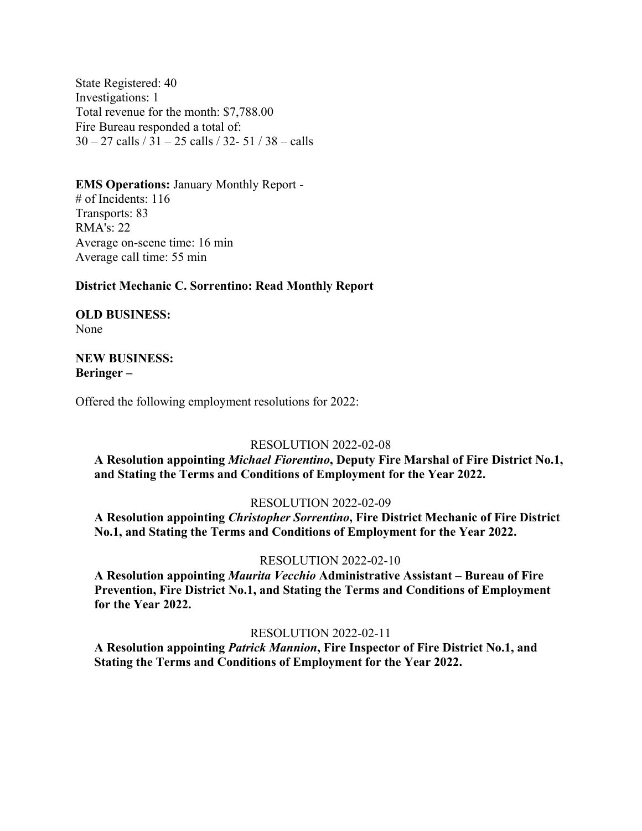State Registered: 40 Investigations: 1 Total revenue for the month: \$7,788.00 Fire Bureau responded a total of: 30 – 27 calls / 31 – 25 calls / 32- 51 / 38 – calls

#### **EMS Operations:** January Monthly Report -

# of Incidents: 116 Transports: 83 RMA's: 22 Average on-scene time: 16 min Average call time: 55 min

#### **District Mechanic C. Sorrentino: Read Monthly Report**

**OLD BUSINESS:**  None

# **NEW BUSINESS: Beringer –**

Offered the following employment resolutions for 2022:

# RESOLUTION 2022-02-08

**A Resolution appointing** *Michael Fiorentino***, Deputy Fire Marshal of Fire District No.1, and Stating the Terms and Conditions of Employment for the Year 2022.**

#### RESOLUTION 2022-02-09

**A Resolution appointing** *Christopher Sorrentino***, Fire District Mechanic of Fire District No.1, and Stating the Terms and Conditions of Employment for the Year 2022.**

#### RESOLUTION 2022-02-10

**A Resolution appointing** *Maurita Vecchio* **Administrative Assistant – Bureau of Fire Prevention, Fire District No.1, and Stating the Terms and Conditions of Employment for the Year 2022.**

#### RESOLUTION 2022-02-11

**A Resolution appointing** *Patrick Mannion***, Fire Inspector of Fire District No.1, and Stating the Terms and Conditions of Employment for the Year 2022.**